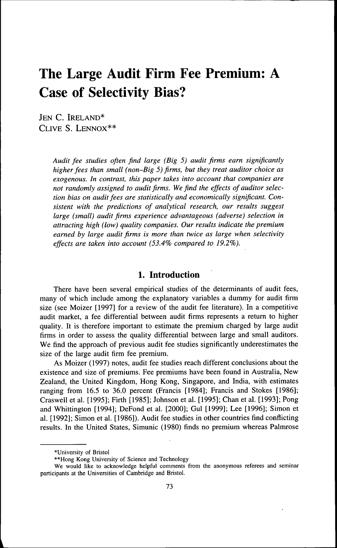# **The Large Audit Firm Fee Premium: A Case of Selectivity Bias?**

JEN C. IRELAND\* CLIVE S. LENNOX\*\*

> *Audit fee studies often find large (Big 5) audit firms earn significantly higher fees than small (non-Big 5) firms, but they treat auditor choice as exogenous. In contrast, this paper takes into account that companies are not randomly assigned to audit firms. We find the effects of auditor selection bias on audit fees are statistically and economically significant. Consistent with the predictions of analytical research, our results suggest large (small) audit firms experience advantageous (adverse) selection in attracting high (low) quality companies. Our results indicate the premium earned by large audit firms is more than twice as large when selectivity effects are taken into account (53.4% compared to 19.2%).*

# 1. Introduction

There have been several empirical studies of the determinants of audit fees, many of which include among the explanatory variables a dummy for audit firm size (see Moizer [1997] for a review of the audit fee literature). In a competitive audit market, a fee differential between audit firms represents a return to higher quality. It is therefore important to estimate the premium charged by large audit firms in order to assess the quality differential between large and small auditors. We find the approach of previous audit fee studies significantly underestimates the size of the large audit firm fee premium.

As Moizer (1997) notes, audit fee studies reach different conclusions about the existence and size of premiums. Fee premiums have been found in Australia, New Zealand, the United Kingdom, Hong Kong, Singapore, and India, with estimates ranging from 16.5 to 36.0 percent (Francis [1984]; Francis and Stokes [1986]; Craswell et al. [1995]; Firth [1985]; Johnson et al. [1995]; Chan et al. [1993]; Pong and Whittington [1994]; DeFond et al. [2000]; Gul [1999]; Lee [1996]; Simon et al. [1992]; Simon et al. [1986]). Audit fee studies in other countries find conflicting results. In the United States, Simunic (1980) finds no premium whereas Palmrose

<sup>\*</sup>University of Bristol

<sup>\*\*</sup>Hong Kong University of Science and Technology

We would like to acknowledge helpful comments from the anonymous referees and seminar participants at the Universities of Cambridge and Bristol.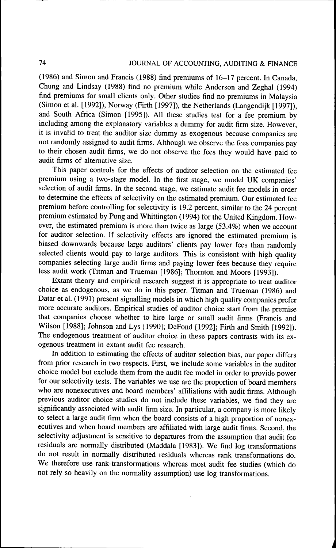# 74 JOURNAL OF ACCOUNTING, AUDITING & FINANCE

(1986) and Simon and Francis (1988) find premiums of 16-17 percent. In Canada, Chung and Lindsay (1988) find no premium while Anderson and Zeghal (1994) find premiums for small clients only. Other studies find no premiums in Malaysia (Simon et al. [1992]), Norway (Firth [1997]), the Netherlands (Langendijk [1997]), and South Africa (Simon [1995]). All these studies test for a fee premium by including among the explanatory variables a dummy for audit firm size. However, it is invalid to treat the auditor size dummy as exogenous because companies are not randomly assigned to audit firms. Although we observe the fees companies pay to their chosen audit firms, we do not observe the fees they would have paid to audit firms of alternative size.

This paper controls for the effects of auditor selection on the estimated fee premium using a two-stage model. In the first stage, we model UK companies' selection of audit firms. In the second stage, we estimate audit fee models in order to determine the effects of selectivity on the estimated premium. Our estimated fee premium before controlling for selectivity is 19.2 percent, similar to the 24 percent premium estimated by Pong and Whittington (1994) for the United Kingdom. However, the estimated premium is more than twice as large (53.4%) when we account for auditor selection. If selectivity effects are ignored the estimated premium is biased downwards because large auditors' clients pay lower fees than randomly selected clients would pay to large auditors. This is consistent with high quality companies selecting large audit firms and paying lower fees because they require less audit work (Titman and Trueman [1986]; Thornton and Moore [1993]).

Extant theory and empirical research suggest it is appropriate to treat auditor choice as endogenous, as we do in this paper. Titman and Trueman (1986) and Datar et al. (1991) present signalling models in which high quality companies prefer more accurate auditors. Empirical studies of auditor choice start from the premise that companies choose whether to hire large or small audit firms (Francis and Wilson [1988]; Johnson and Lys [1990]; DeFond [1992]; Firth and Smith [1992]). The endogenous treatment of auditor choice in these papers contrasts with its exogenous treatment in extant audit fee research.

In addition to estimating the effects of auditor selection bias, our paper differs from prior research in two respects. First, we include some variables in the auditor choice model but exclude them from the audit fee model in order to provide power for our selectivity tests. The variables we use are the proportion of board members who are nonexecutives and board members' affiliations with audit firms. Although previous auditor choice studies do not include these variables, we find they are significantly associated with audit firm size. In particular, a company is more likely to select a large audit firm when the board consists of a high proportion of nonexecutives and when board members are affiliated with large audit firms. Second, the selectivity adjustment is sensitive to departures from the assumption that audit fee residuals are normally distributed (Maddala [1983]). We find log transformations do not result in normally distributed residuals whereas rank transformations do. We therefore use rank-transformations whereas most audit fee studies (which do not rely so heavily on the normality assumption) use log transformations.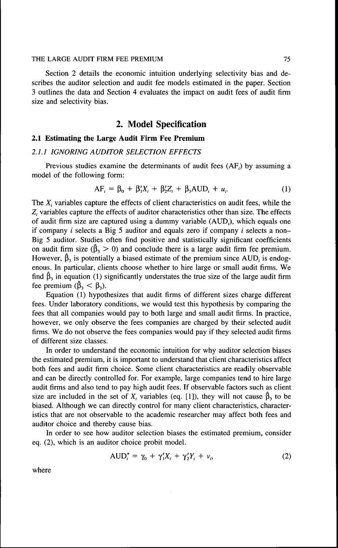Section 2 details the economic intuition underlying selectivity bias and describes the auditor selection and audit fee models estimated in the paper. Section 3 outlines the data and Section 4 evaluates the impact on audit fees of audit firm size and selectivity bias.

# 2. Model Specification

# **2.1 Estimating the Large Audit Firm Fee Premium**

#### *2.1.1 IGNORING AUDITOR SELECTION EEFECTS*

Previous studies examine the determinants of audit fees (AF,) by assuming a model of the following form:

$$
AF_i = \beta_0 + \beta_1' X_i + \beta_2' Z_i + \beta_3 \text{AUD}_i + u_i. \tag{1}
$$

The  $X_i$  variables capture the effects of client characteristics on audit fees, while the  $Z<sub>i</sub>$  variables capture the effects of auditor characteristics other than size. The effects of audit firm size are captured using a dummy variable  $(AUD_i)$ , which equals one if company  $i$  selects a Big 5 auditor and equals zero if company  $i$  selects a non-Big 5 auditor. Studies often find positive and statistically significant coefficients on audit firm size ( $\hat{\beta}_3 > 0$ ) and conclude there is a large audit firm fee premium. However,  $\hat{\beta}_3$  is potentially a biased estimate of the premium since AUD, is endogenous. In particular, clients choose whether to hire large or small audit firms. We find  $\hat{\beta}_3$  in equation (1) significantly understates the true size of the large audit firm fee premium  $(\hat{\beta}_3 < \beta_3)$ .

Equation (1) hypothesizes that audit firms of different sizes charge different fees. Under laboratory conditions, we would test this hypothesis by comparing the fees that all companies would pay to both large and small audit firms. In practice, however, we only observe the fees companies are charged by their selected audit firms. We do not observe the fees companies would pay if they selected audit firms of different size classes.

In order to understand the economic intuition for why auditor selection biases the estimated premium, it is important to understand that client characteristics affect both fees and audit firm choice. Some client characteristics are readily observable and can be directly controlled for. For example, large companies tend to hire large audit firms and also tend to pay high audit fees. If observable factors such as client size are included in the set of  $X_i$  variables (eq. [1]), they will not cause  $\hat{\beta}_3$  to be biased. Although we can directly control for many client characteristics, characteristics that are not observable to the academic researcher may affect both fees and auditor choice and thereby cause bias.

In order to see how auditor selection biases the estimated premium, consider eq. (2), which is an auditor choice probit model.

$$
AUD_i^* = \gamma_0 + \gamma_1' X_i + \gamma_2' Y_i + \nu_i,\tag{2}
$$

where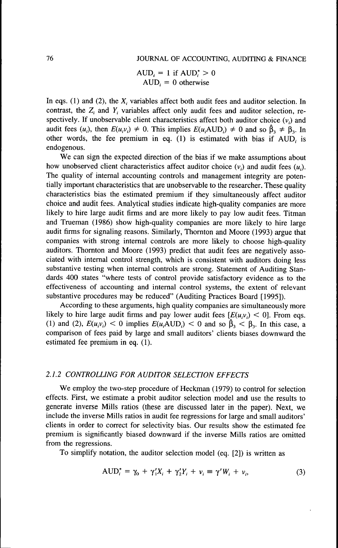$AUD_i = 1$  if  $AUD_i^* > 0$  $AUD_i = 0$  otherwise

In eqs. (1) and (2), the  $X_i$  variables affect both audit fees and auditor selection. In contrast, the  $Z_i$  and  $Y_i$  variables affect only audit fees and auditor selection, respectively. If unobservable client characteristics affect both auditor choice  $(v_i)$  and audit fees  $(u_i)$ , then  $E(u,v_i) \neq 0$ . This implies  $E(u_i \text{AUD}_i) \neq 0$  and so  $\hat{\beta}_i \neq \beta_i$ . In other words, the fee premium in eq. (1) is estimated with bias if AUD, is endogenous.

We can sign the expected direction of the bias if we make assumptions about how unobserved client characteristics affect auditor choice  $(v_i)$  and audit fees  $(u_i)$ . The quality of internal accounting controls and management integrity are potentially important characteristics that are unobservable to the researcher. These quality characteristics bias the estimated premium if they simultaneously affect auditor choice and audit fees. Analytical studies indicate high-quality companies are more likely to hire large audit firms and are more likely to pay low audit fees. Titman and Trueman (1986) show high-quality companies are more likely to hire large audit firms for signaling reasons. Similarly, Thornton and Moore (1993) argue that companies with strong internal controls are more likely to choose high-quality auditors. Thornton and Moore (1993) predict that audit fees are negatively associated with internal control strength, which is consistent with auditors doing less substantive testing when internal controls are strong. Statement of Auditing Standards 400 states "where tests of control provide satisfactory evidence as to the effectiveness of accounting and internal control systems, the extent of relevant substantive procedures may be reduced" (Auditing Practices Board [1995]).

According to these arguments, high quality companies are simultaneously more likely to hire large audit firms and pay lower audit fees  $[E(u,v)] < 0$ . From eqs. (1) and (2),  $E(u_i v_i) < 0$  implies  $E(u_i A UD_i) < 0$  and so  $\beta_3 < \beta_3$ . In this case, a comparison of fees paid by large and small auditors' clients biases downward the estimated fee premium in eq. (1).

# *2.1.2 CONTROLLING FOR AUDITOR SELECTION EFFECTS*

We employ the two-step procedure of Heckman (1979) to control for selection effects. First, we estimate a probit auditor selection model and use the results to generate inverse Mills ratios (these are discussed later in the paper). Next, we include the inverse Mills ratios in audit fee regressions for large and small auditors' clients in order to correct for selectivity bias. Our results show the estimated fee premium is significantly biased downward if the inverse Mills ratios are omitted from the regressions.

To simplify notation, the auditor selection model (eq. [2]) is written as

$$
AUD_i^* = \gamma_0 + \gamma_1' X_i + \gamma_2' Y_i + \nu_i \equiv \gamma' W_i + \nu_i,
$$
\n(3)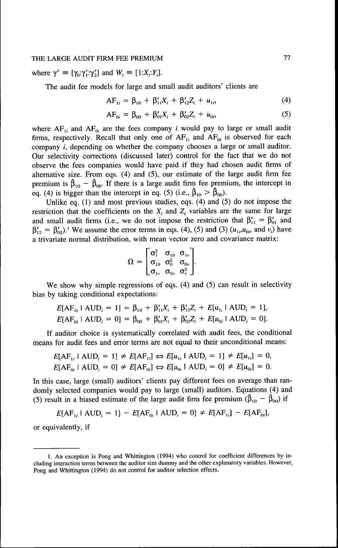where  $\gamma' \equiv [\gamma_0:\gamma';\gamma_2']$  and  $W_i \equiv [1:X,:Y_i]$ .

The audit fee models for large and small audit auditors' clients are

$$
AF_{1i} = \beta_{10} + \beta'_{11}X_i + \beta'_{12}Z_i + u_{1i}, \tag{4}
$$

$$
AF_{0i} = \beta_{00} + \beta'_{01}X_i + \beta'_{02}Z_i + u_{0i},
$$
 (5)

where  $AF_{1i}$  and  $AF_{0i}$  are the fees company *i* would pay to large or small audit firms, respectively. Recall that only one of  $AF_{1i}$  and  $AF_{0i}$  is observed for each company *i,* depending on whether the company chooses a large or small auditor. Our selectivity corrections (discussed later) control for the fact that we do not observe the fees companies would have paid if they had chosen audit firms of alternative size. From eqs.  $(4)$  and  $(5)$ , our estimate of the large audit firm fee premium is  $\hat{\beta}_{10} - \hat{\beta}_{00}$ . If there is a large audit firm fee premium, the intercept in eq. (4) is bigger than the intercept in eq. (5) (i.e.,  $\hat{\beta}_{10} > \hat{\beta}_{00}$ ).

Unlike eq. (1) and most previous studies, eqs. (4) and (5) do not impose the restriction that the coefficients on the  $X_i$  and  $Z_i$  variables are the same for large and small audit firms (i.e., we do not impose the restriction that  $\beta'_{11} = \beta'_{01}$  and  $\beta'_{12} = \beta'_{02}$ . We assume the error terms in eqs. (4), (5) and (3)  $(u_{1i}, u_{0i},$  and  $v_i)$  have a trivariate normal distribution, with mean vector zero and covariance matrix:

$$
\Omega = \begin{bmatrix} \sigma_1^2 & \sigma_{10} & \sigma_{1v} \\ \sigma_{10} & \sigma_0^2 & \sigma_{0v} \\ \sigma_{1v} & \sigma_{0v} & \sigma_v^2 \end{bmatrix}.
$$

We show why simple regressions of eqs. (4) and (5) can result in selectivity bias by taking conditional expectations:

$$
E[AF_{1i} \mid \text{AUD}_i = 1] = \beta_{10} + \beta'_{11}X_i + \beta'_{12}Z_i + E[u_{1i} \mid \text{AUD}_i = 1],
$$
  

$$
E[AF_{0i} \mid \text{AUD}_i = 0] = \beta_{00} + \beta'_{01}X_i + \beta'_{02}Z_i + E[u_{0i} \mid \text{AUD}_i = 0].
$$

If auditor choice is systematically correlated with audit fees, the conditional means for audit fees and error terms are not equal to their unconditional means:

$$
E[AF_{1i} \mid \text{AUD}_i = 1] \neq E[AF_{1i}] \Leftrightarrow E[u_{1i} \mid \text{AUD}_i = 1] \neq E[u_{1i}] = 0,
$$
  

$$
E[AF_{0i} \mid \text{AUD}_i = 0] \neq E[AF_{0i}] \Leftrightarrow E[u_{0i} \mid \text{AUD}_i = 0] \neq E[u_{0i}] = 0.
$$

In this case, large (small) auditors' clients pay different fees on average than randomly selected companies would pay to large (small) auditors. Equations (4) and (5) result in a biased estimate of the large audit firm fee premium ( $\hat{\beta}_{10} - \hat{\beta}_{00}$ ) if

 $E[AF_{1i} \mid AUD_i = 1] - E[AF_{0i} \mid AUD_i = 0] \neq E[AF_{1i}] - E[AF_{0i}],$ 

or equivalently, if

<sup>1.</sup> An exception is Pong and Whittington (1994) who control for coefficient differences by including interaction terms between the auditor size dummy and the other explanatory variables. However, Pong and Whittington (1994) do not control for auditor selection effects.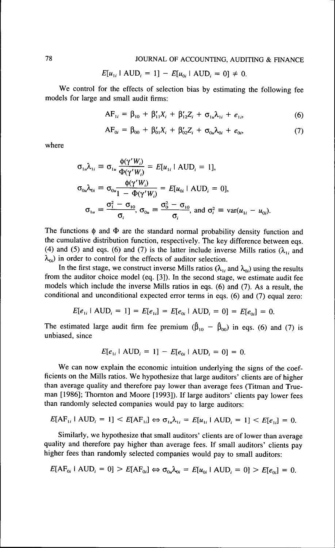$$
E[u_{1i} \mid \text{AUD}_i = 1] - E[u_{0i} \mid \text{AUD}_i = 0] \neq 0.
$$

We control for the effects of selection bias by estimating the following fee models for large and small audit firms:

$$
AF_{1i} = \beta_{10} + \beta'_{11}X_i + \beta'_{12}Z_i + \sigma_{1u}\lambda_{1i} + e_{1i}, \qquad (6)
$$

$$
AF_{0i} = \beta_{00} + \beta'_{01}X_i + \beta'_{02}Z_i + \sigma_{0u}\lambda_{0i} + e_{0i},
$$
\n(7)

where

$$
\sigma_{1u}\lambda_{1i} \equiv \sigma_{1u} \frac{\phi(\gamma'W_i)}{\Phi(\gamma'W_i)} = E[u_{1i} \mid \text{AUD}_i = 1],
$$
  
\n
$$
\sigma_{0u}\lambda_{0i} \equiv \sigma_{0u} \frac{\phi(\gamma'W_i)}{1 - \Phi(\gamma'W_i)} = E[u_{0i} \mid \text{AUD}_i = 0],
$$
  
\n
$$
\sigma_{1u} \equiv \frac{\sigma_1^2 - \sigma_{10}}{\sigma_i}, \sigma_{0u} \equiv \frac{\sigma_0^2 - \sigma_{10}}{\sigma_i}, \text{ and } \sigma_i^2 \equiv \text{var}(u_{1i} - u_{0i}).
$$

The functions  $\phi$  and  $\Phi$  are the standard normal probability density function and the cumulative distribution function, respectively. The key difference between eqs. (4) and (5) and eqs. (6) and (7) is the latter include inverse Mills ratios ( $\lambda_{1i}$  and  $\lambda_{0i}$ ) in order to control for the effects of auditor selection.

In the first stage, we construct inverse Mills ratios ( $\lambda_{1i}$  and  $\lambda_{0i}$ ) using the results from the auditor choice model (eq. [3]). In the second stage, we estimate audit fee models which include the inverse Mills ratios in eqs. (6) and (7). As a result, the conditional and unconditional expected error terms in eqs. (6) and (7) equal zero:

$$
E[e_{1i} \mid \text{AUD}_i = 1] = E[e_{1i}] = E[e_{0i} \mid \text{AUD}_i = 0] = E[e_{0i}] = 0.
$$

The estimated large audit firm fee premium  $(\hat{\beta}_{10} - \hat{\beta}_{00})$  in eqs. (6) and (7) is unbiased, since

$$
E[e_{1i} \mid \text{AUD}_i = 1] - E[e_{0i} \mid \text{AUD}_i = 0] = 0.
$$

We can now explain the economic intuition underlying the signs of the coefficients on the Mills ratios. We hypothesize that large auditors' clients are of higher than average quality and therefore pay lower than average fees (Titman and Trueman [1986]; Thornton and Moore [1993]). If large auditors' clients pay lower fees than randomly selected companies would pay to large auditors:

$$
E[\mathbf{AF}_{1i} \mid \mathbf{AUD}_{i} = 1] < E[\mathbf{AF}_{1i}] \Leftrightarrow \sigma_{1u} \lambda_{1i} = E[u_{1i} \mid \mathbf{AUD}_{i} = 1] < E[e_{1i}] = 0.
$$

Similarly, we hypothesize that small auditors' clients are of lower than average quality and therefore pay higher than average fees. If small auditors' clients pay higher fees than randomly selected companies would pay to small auditors:

$$
E[\text{AF}_{0i} \mid \text{AUD}_i = 0] > E[\text{AF}_{0i}] \Leftrightarrow \sigma_{0u} \lambda_{0i} = E[u_{0i} \mid \text{AUD}_i = 0] > E[e_{0i}] = 0.
$$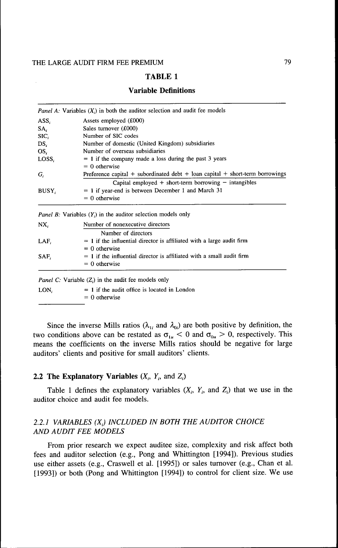## **Variable Definitions**

|                                                                   | <i>Panel A.</i> Variables $(X_i)$ in both the auditor selection and audit fee models |  |  |  |
|-------------------------------------------------------------------|--------------------------------------------------------------------------------------|--|--|--|
| ASS.                                                              | Assets employed (£000)                                                               |  |  |  |
| SA,                                                               | Sales turnover (£000)                                                                |  |  |  |
| SIC.                                                              | Number of SIC codes                                                                  |  |  |  |
| DS.                                                               | Number of domestic (United Kingdom) subsidiaries                                     |  |  |  |
| OS,                                                               | Number of overseas subsidiaries                                                      |  |  |  |
| $= 1$ if the company made a loss during the past 3 years<br>LOSS. |                                                                                      |  |  |  |
|                                                                   | $= 0$ otherwise                                                                      |  |  |  |
| G,                                                                | Preference capital + subordinated debt + loan capital + short-term borrowings        |  |  |  |
|                                                                   | Capital employed $+$ short-term borrowing $-$ intangibles                            |  |  |  |
| BUSY.                                                             | $= 1$ if year-end is between December 1 and March 31                                 |  |  |  |
|                                                                   | $= 0$ otherwise                                                                      |  |  |  |
|                                                                   |                                                                                      |  |  |  |
|                                                                   | <i>Panel B:</i> Variables $(Y_i)$ in the auditor selection models only               |  |  |  |

| NX.  | Number of nonexecutive directors                                        |
|------|-------------------------------------------------------------------------|
|      | Number of directors                                                     |
| LAF. | $= 1$ if the influential director is affiliated with a large audit firm |
|      | $= 0$ otherwise                                                         |
| SAF. | $= 1$ if the influential director is affiliated with a small audit firm |
|      | $= 0$ otherwise                                                         |

*Panel C:* Variable  $(Z_i)$  in the audit fee models only

 $LON_i = 1$  if the audit office is located in London  $= 0$  otherwise

Since the inverse Mills ratios ( $\lambda_{1i}$  and  $\lambda_{0i}$ ) are both positive by definition, the two conditions above can be restated as  $\sigma_{1u} < 0$  and  $\sigma_{0u} > 0$ , respectively. This means the coefficients on the inverse Mills ratios should be negative for large auditors' clients and positive for small auditors' clients.

## **2.2 The Explanatory Variables**  $(X_i, Y_i, \text{ and } Z_i)$

Table 1 defines the explanatory variables  $(X_i, Y_i, \text{ and } Z_i)$  that we use in the auditor choice and audit fee models.

# 2.2.7 *VARIABLES (XJ INCLUDED IN BOTH THE AUDITOR CHOICE AND AUDIT FEE MODELS*

From prior research we expect auditee size, complexity and risk affect both fees and auditor selection (e.g.. Pong and Whittington [1994]). Previous studies use either assets (e.g., Craswell et al. [1995]) or sales turnover (e.g., Chan et al. [1993]) or both (Pong and Whittington [1994]) to control for client size. We use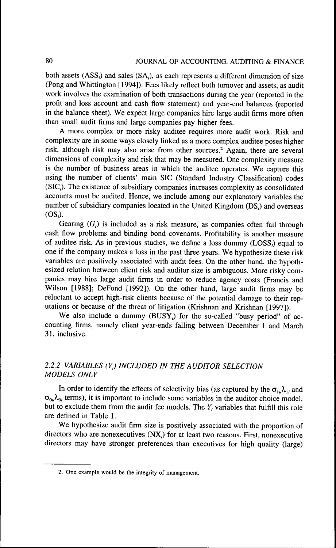both assets  $(ASS<sub>i</sub>)$  and sales  $(SA<sub>i</sub>)$ , as each represents a different dimension of size (Pong and Whittington [1994]). Fees likely reflect both turnover and assets, as audit work involves the examination of both transactions during the year (reported in the profit and loss account and cash flow statement) and year-end balances (reported in the balance sheet). We expect large companies hire large audit firms more often than small audit firms and large companies pay higher fees.

A more complex or more risky auditee requires more audit work. Risk and complexity are in some ways closely linked as a more complex auditee poses higher risk, although risk may also arise from other sources.<sup>2</sup> Again, there are several dimensions of complexity and risk that may be measured. One complexity measure is the number of business areas in which the auditee operates. We capture this using the number of clients' main SIC (Standard Industry Classification) codes (SIC,). The existence of subsidiary companies increases complexity as consolidated accounts must be audited. Hence, we include among our explanatory variables the number of subsidiary companies located in the United Kingdom (DS,) and overseas  $(OS_i)$ .

Gearing  $(G_i)$  is included as a risk measure, as companies often fail through cash flow problems and binding bond covenants. Profitability is another measure of auditee risk. As in previous studies, we define a loss dummy (LOSS,) equal to one if the company makes a loss in the past three years. We hypothesize these risk variables are positively associated with audit fees. On the other hand, the hypothesized relation between client risk and auditor size is ambiguous. More risky companies may hire large audit firms in order to reduce agency costs (Francis and Wilson [1988]; DeFond [1992]). On the other hand, large audit firms may be reluctant to accept high-risk clients because of the potential damage to their reputations or because of the threat of litigation (Krishnan and Krishnan [1997]).

We also include a dummy  $(BUSY_i)$  for the so-called "busy period" of accounting firms, namely client year-ends falling between December 1 and March 31, inclusive.

## *2.2.2 VARIABLES (Y,) INCLUDED IN THE AUDITOR SELECTION MODELS ONLY*

In order to identify the effects of selectivity bias (as captured by the  $\sigma_{1u} \lambda_{1i}$  and  $\sigma_{0\mu}\lambda_{0i}$  terms), it is important to include some variables in the auditor choice model, but to exclude them from the audit fee models. The  $Y_i$  variables that fulfill this role are defined in Table *\.*

We hypothesize audit firm size is positively associated with the proportion of directors who are nonexecutives (NX,) for at least two reasons. First, nonexecutive directors may have stronger preferences than executives for high quality (large)

<sup>2.</sup> One example would be the integrity of management.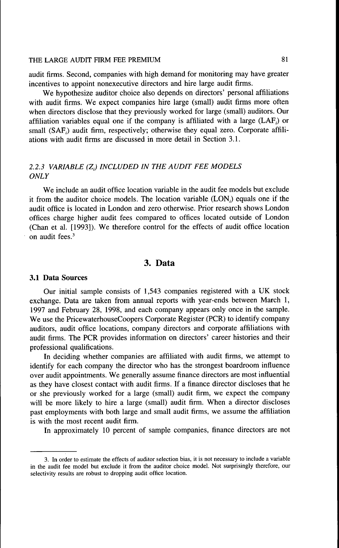audit firms. Second, companies with high demand for monitoring may have greater incentives to appoint nonexecutive directors and hire large audit firms.

We hypothesize auditor choice also depends on directors' personal affiliations with audit firms. We expect companies hire large (small) audit firms more often when directors disclose that they previously worked for large (small) auditors. Our affiliation variables equal one if the company is affiliated with a large (LAF,) or small (SAF) audit firm, respectively; otherwise they equal zero. Corporate affiliations with audit firms are discussed in more detail in Section 3.1.

# 2.2.3 VARIABLE (Z<sub>i</sub>) INCLUDED IN THE AUDIT FEE MODELS *ONLY*

We include an audit office location variable in the audit fee models but exclude it from the auditor choice models. The location variable (LON,) equals one if the audit office is located in London and zero otherwise. Prior research shows London offices charge higher audit fees compared to offices located outside of London (Chan et al. [1993]). We therefore control for the effects of audit office location on audit fees.<sup>3</sup>

# 3. Data

## **3.1 Data Sources**

Our initial sample consists of 1,543 companies registered with a UK stock exchange. Data are taken from annual reports with year-ends between March 1, 1997 and February 28, 1998, and each company appears only once in the sample. We use the PricewaterhouseCoopers Corporate Register (PCR) to identify company auditors, audit office locations, company directors and corporate affiliations with audit firms. The PCR provides information on directors' career histories and their professional qualifications.

In deciding whether companies are affiliated with audit firms, we attempt to identify for each company the director who has the strongest boardroom infiuence over audit appointments. We generally assume finance directors are most influential as they have closest contact with audit firms. If a finance director discloses that he or she previously worked for a large (small) audit firm, we expect the company will be more likely to hire a large (small) audit firm. When a director discloses past employments with both large and small audit firms, we assume the affiliation is with the most recent audit firm.

In approximately 10 percent of sample companies, finance directors are not

<sup>3.</sup> In order to estimate the effects of auditor selection bias, it is not necessary to include a variable in the audit fee model but exclude it from the auditor choice model. Not surprisingly therefore, our selectivity results are robust to dropping audit office location.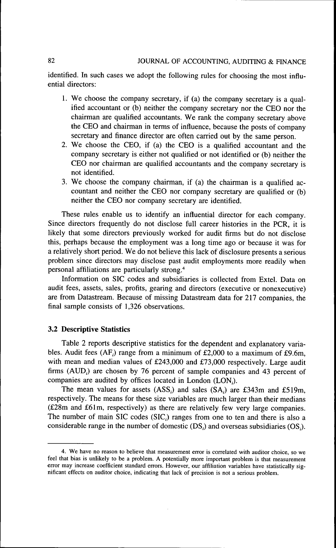## 82 JOURNAL OF ACCOUNTING, AUDITING & FINANCE

identified. In such cases we adopt the following rules for choosing the most influential directors:

- 1. We choose the company secretary, if (a) the company secretary is a qualified accountant or (b) neither the company secretary nor the CEO nor the chairman are qualified accountants. We rank the company secretary above the CEO and chairman in terms of influence, because the posts of company secretary and finance director are often carried out by the same person.
- 2. We choose the CEO, if (a) the CEO is a qualified accountant and the company secretary is either not qualified or not identified or (b) neither the CEO nor chairman are qualified accountants and the company secretary is not identified.
- 3. We choose the company chairman, if (a) the chairman is a qualified accountant and neither the CEO nor company secretary are qualified or (b) neither the CEO nor company secretary are identified.

These rules enable us to identify an influential director for each company. Since directors frequently do not disclose full career histories in the PCR, it is likely that some directors previously worked for audit firms but do not disclose this, perhaps because the employment was a long time ago or because it was for a relatively short period. We do not believe this lack of disclosure presents a serious problem since directors may disclose past audit employments more readily when personal affiliations are particularly strong."

Information on SIC codes and subsidiaries is collected from Extel. Data on audit fees, assets, sales, profits, gearing and directors (executive or nonexecutive) are from Datastream. Because of missing Datastream data for 217 companies, the final sample consists of 1,326 observations.

## **3.2 Descriptive Statistics**

Table 2 reports descriptive statistics for the dependent and explanatory variables. Audit fees  $(AF_i)$  range from a minimum of £2,000 to a maximum of £9.6m, with mean and median values of £243,000 and £73,000 respectively. Large audit firms (AUD,) are chosen by 76 percent of sample companies and 43 percent of companies are audited by offices located in London (LON,).

The mean values for assets  $(ASS_i)$  and sales  $(SA_i)$  are £343m and £519m, respectively. The means for these size variables are much larger than their medians (£28m and £61m, respectively) as there are relatively few very large companies. The number of main SIC codes  $(SIC<sub>i</sub>)$  ranges from one to ten and there is also a considerable range in the number of domestic  $(DS_i)$  and overseas subsidiaries  $(OS_i)$ .

<sup>4.</sup> We have no reason to believe that measurement error is correlated with auditor choice, so we feel that bias is unlikely to be a problem. A potentially more important problem is that measurement error may increase coefficient standard errors. However, our affiliation variables have statistically significant effects on auditor choice, indicating that lack of precision is not a serious problem.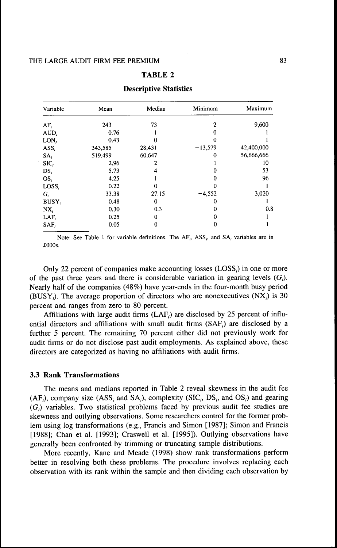| Variable          | Mean    | Median   | Minimum   | Maximum    |
|-------------------|---------|----------|-----------|------------|
| $AF_i$            | 243     | 73       | 2         | 9,600      |
| AUD.              | 0.76    |          |           |            |
| LON <sub>i</sub>  | 0.43    |          |           |            |
| ASS,              | 343,585 | 28,431   | $-13,579$ | 42,400,000 |
| $SA_i$            | 519,499 | 60,647   | 0         | 56,666,666 |
| SIC,              | 2.96    |          |           | 10         |
| DS,               | 5.73    | 4        |           | 53         |
| $OS_i$            | 4.25    |          |           | 96         |
| LoSS <sub>i</sub> | 0.22    | 0        |           |            |
| G,                | 33.38   | 27.15    | $-4,552$  | 3,020      |
| BUSY,             | 0.48    | $\theta$ | 0         |            |
| NX.               | 0.30    | 0.3      |           | 0.8        |
| LAF,              | 0.25    | 0        |           |            |
| SAF,              | 0.05    | 0        | 0         |            |

#### **Descriptive Statistics**

Note: See Table 1 for variable definitions. The AF<sub>i</sub>, ASS<sub>i</sub>, and SA<sub>i</sub> variables are in £OOOs,

Only 22 percent of companies make accounting losses (LOSS) in one or more of the past three years and there is considerable variation in gearing levels  $(G_i)$ . Nearly half of the companies (48%) have year-ends in the four-month busy period (BUSY<sub>i</sub>). The average proportion of directors who are nonexecutives  $(NX_i)$  is 30 percent and ranges from zero to 80 percent.

Affiliations with large audit firms  $(LAF)$  are disclosed by 25 percent of influential directors and affiliations with small audit firms (SAF,) are disclosed by a further 5 percent. The remaining 70 percent either did not previously work for audit firms or do not disclose past audit employments. As explained above, these directors are categorized as having no affiliations with audit firms.

## **3.3 Rank Transformations**

The means and medians reported in Table 2 reveal skewness in the audit fee  $(AF_i)$ , company size  $(ASS_i$  and  $SA_i)$ , complexity  $(SIC_i, DS_i)$ , and  $OS_i)$  and gearing  $(G_i)$  variables. Two statistical problems faced by previous audit fee studies are skewness and outlying observations. Some researchers control for the former problem using log transformations (e.g., Francis and Simon [1987]; Simon and Francis [1988]; Chan et al. [1993]; Craswell et al. [1995]). Outlying observations have generally been confronted by trimming or truncating sample distributions.

More recently, Kane and Meade (1998) show rank transformations perform better in resolving both these problems. The procedure involves replacing each observation with its rank within the sample and then dividing each observation by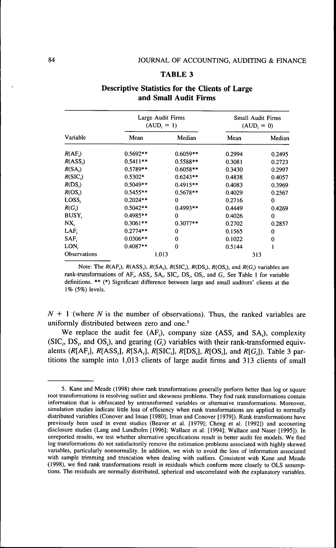|                     |            | Large Audit Firms<br>$(AUD, = 1)$ | Small Audit Firms<br>$(AUD, = 0)$ |        |  |
|---------------------|------------|-----------------------------------|-----------------------------------|--------|--|
| Variable            | Mean       | Median                            | Mean                              | Median |  |
| R(AF)               | $0.5692**$ | $0.6059**$                        | 0.2994                            | 0.2495 |  |
| $R(ASS_i)$          | $0.5411**$ | $0.5588**$                        | 0.3081                            | 0.2723 |  |
| R(SA)               | 0.5789**   |                                   | 0.3430                            | 0.2997 |  |
| $R(SIC_i)$          | $0.5302*$  | $0.6243**$                        | 0.4838                            | 0.4057 |  |
| $R(DS_i)$           | $0.5049**$ | $0.4915**$                        | 0.4083                            | 0.3969 |  |
| $R(OS_i)$           | $0.5455**$ | $0.5678**$                        | 0.4029                            | 0.2567 |  |
| LOSS,               | $0.2024**$ | $\bf{0}$                          | 0.2716                            | 0      |  |
| $R(G_i)$            | $0.5042**$ | $0.4993**$                        | 0.4449                            | 0.4269 |  |
| BUSY,               | $0.4985**$ | 0                                 | 0.4026                            | 0      |  |
| $NX_i$              | $0.3061**$ | $0.3077**$                        | 0.2702                            | 0.2857 |  |
| LAF                 | $0.2774**$ | 0                                 | 0.1565                            | 0      |  |
| SAF.                | $0.0306**$ | 0                                 | 0.1022                            | 0      |  |
| LON,                | $0.4087**$ | 0                                 | 0.5144                            |        |  |
| <b>Observations</b> | 1,013      |                                   | 313                               |        |  |

# **Descriptive Statistics for the Clients of Large and Small Audit Firms**

Note: The  $R(AF_i)$ ,  $R(ASS_i)$ ,  $R(SA_i)$ ,  $R(SIC_i)$ ,  $R(DS_i)$ ,  $R(OS_i)$ , and  $R(G_i)$  variables are rank-transformations of AF,, ASS,, SA,, SIC,, DS,, OS,, and *G,.* See Table 1 for variable definitions. \*\* (\*) Significant difference between large and small auditors' clients at the 1% (5%) levels.

 $N + 1$  (where N is the number of observations). Thus, the ranked variables are uniformly distributed between zero and one.<sup>5</sup>

We replace the audit fee  $(AF_i)$ , company size  $(ASS_i$  and  $SA_i)$ , complexity  $(SIC<sub>i</sub>, DS<sub>i</sub>, and OS<sub>i</sub>)$ , and gearing  $(G<sub>i</sub>)$  variables with their rank-transformed equivalents *(R[AF,],* ^[ASS,], *R[SA,], R[S1C,],* /?[DS,.], *R[OS,],* and *R[G,]).* Table 3 partitions the sample into 1,013 clients of large audit firms and 313 clients of small

<sup>5.</sup> Kane and Meade (1998) show rank transformations generally perform better than log or square root transformations in resolving outlier and skewness problems. They find rank transformations contain information that is obfuscated by untransformed variables or alternative transformations. Moreover, simulation studies indicate little ioss of efficiency when rank transformations are applied to normally distributed variables (Conover and Iman [1980]; Iman and Conover [1979]). Rank transformations have previously been used in event studies (Beaver et al. [1979]; Cheng et al. [1992]) and accounting disclosure studies (Lang and Lundholm [1996]; Wallace et al. [1994]; Wallace and Naser [1995]). In unreported results, we test whether alternative specifications result in better audit fee models. We find log transformations do not satisfactorily remove the estimation problems associated with highly skewed variables, particularly nonnormality. In addition, we wish to avoid the loss of information associated with sample trimming and truncation when dealing with outliers. Consistent with Kane and Meade (1998), we find rank transformations result in residuals which conform more closely to OLS assumptions. The residuals are normally distributed, spherical and uncorrelated with the explanatory variables.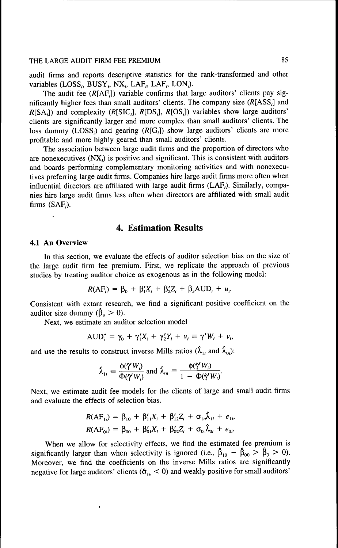audit firms and reports descriptive statistics for the rank-transformed and other variables (LOSS,, BUSY,, NX,, LAF,, LAF,, LON,).

The audit fee  $(R[AF_i])$  variable confirms that large auditors' clients pay significantly higher fees than small auditors' clients. The company size  $(R[ASS<sub>i</sub>]$  and  $R[SA_i]$ ) and complexity ( $R[SIC_i]$ ,  $R[DS_i]$ ,  $R[OS_i]$ ) variables show large auditors' clients are significantly larger and more complex than small auditors' clients. The loss dummy (LOSS) and gearing  $(R[G_1])$  show large auditors' clients are more profitable and more highly geared than small auditors' clients.

The association between large audit firms and the proportion of directors who are nonexecutives (NX,) is positive and significant. This is consistent with auditors and boards performing complementary monitoring activities and with nonexecutives preferring large audit firms. Companies hire large audit firms more often when infiuential directors are affiliated with large audit firms (LAF,). Similarly, companies hire large audit firms less often when directors are affiliated with small audit firms (SAF,).

# 4. Estimation Results

## **4.1 An Overview**

In this section, we evaluate the effects of auditor selection bias on the size of the large audit firm fee premium. First, we replicate the approach of previous studies by treating auditor choice as exogenous as in the following model:

$$
R(AF_i) = \beta_0 + \beta_1'X_i + \beta_2'Z_i + \beta_3AUD_i + u_i.
$$

Consistent with extant research, we find a significant positive coefficient on the auditor size dummy  $(\hat{\beta}_3 > 0)$ .

Next, we estimate an auditor selection model

$$
AUD_i^* = \gamma_0 + \gamma_1'X_i + \gamma_2'Y_i + \nu_i \equiv \gamma'W_i + \nu_i,
$$

and use the results to construct inverse Mills ratios ( $\hat{\lambda}_{1i}$  and  $\hat{\lambda}_{0i}$ ):

$$
\hat{\lambda}_{1i} = \frac{\phi(\hat{\gamma}'W_i)}{\Phi(\hat{\gamma}'W_i)} \text{ and } \hat{\lambda}_{0i} = \frac{\phi(\hat{\gamma}'W_i)}{1 - \Phi(\hat{\gamma}'W_i)}.
$$

Next, we estimate audit fee models for the clients of large and small audit firms and evaluate the effects of selection bias.

$$
R(AF_{1i}) = \beta_{10} + \beta'_{11}X_i + \beta'_{12}Z_i + \sigma_{1u}\lambda_{1i} + e_{1i},
$$
  

$$
R(AF_{0i}) = \beta_{00} + \beta'_{01}X_i + \beta'_{02}Z_i + \sigma_{0i}\lambda_{0i} + e_{0i}.
$$

When we allow for selectivity effects, we find the estimated fee premium is significantly larger than when selectivity is ignored (i.e.,  $\hat{\beta}_{10} - \hat{\beta}_{00} > \hat{\beta}_{3} > 0$ ). Moreover, we find the coefficients on the inverse Mills ratios are significantly negative for large auditors' clients ( $\hat{\sigma}_{1u}$  < 0) and weakly positive for small auditors'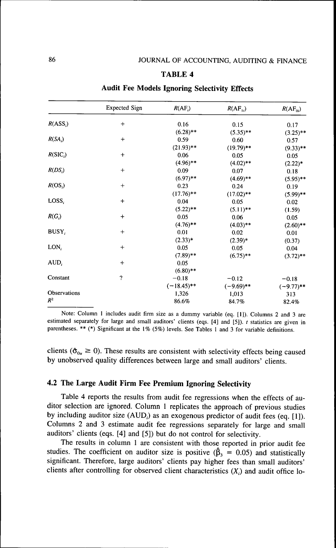|                   | <b>Expected Sign</b>    | $R(AF_i)$     | $R(AF_{1i})$ | $R(AF_{\alpha})$ |
|-------------------|-------------------------|---------------|--------------|------------------|
| $R(ASS_i)$        | $\,{}^+$                | 0.16          | 0.15         | 0.17             |
|                   |                         | $(6.28)$ **   | $(5.35)$ **  | $(3.25)$ **      |
| $R(SA_i)$         | $^{+}$                  | 0.59          | 0.60         | 0.57             |
|                   |                         | $(21.93)$ **  | $(19.79)$ ** | $(9.33)$ **      |
| $R(SIC_i)$        | $\ddot{}$               | 0.06          | 0.05         | 0.05             |
|                   |                         | $(4.96)$ **   | $(4.02)$ **  | $(2.22)^*$       |
| $R(DS_i)$         | $^{+}$                  | 0.09          | 0.07         | 0.18             |
|                   |                         | $(6.97)$ **   | $(4.69)$ **  | $(5.95)$ **      |
| $R(OS_i)$         | $+$                     | 0.23          | 0.24         | 0.19             |
|                   |                         | $(17.76)$ **  | $(17.02)$ ** | $(5.99)$ **      |
| LOSS <sub>i</sub> | $+$                     | 0.04          | 0.05         | 0.02             |
|                   |                         | $(5.22)$ **   | $(5.11)**$   | (1.59)           |
| $R(G_i)$          | $\ddot{}$               | 0.05          | 0.06         | 0.05             |
|                   |                         | $(4.76)$ **   | $(4.03)$ **  | $(2.60)$ **      |
| BUSY,             | $\ddot{}$               | 0.01          | 0.02         | 0.01             |
|                   |                         | $(2.33)*$     | $(2.39)*$    | (0.37)           |
| $LON_i$           | $\ddot{}$               | 0.05          | 0.05         | 0.04             |
|                   |                         | $(7.89)$ **   | $(6.75)$ **  | $(3.72)$ **      |
| $AUD_i$           | $\ddot{}$               | 0.05          |              |                  |
|                   |                         | $(6.80)$ **   |              |                  |
| Constant          | $\overline{\mathbf{r}}$ | $-0.18$       | $-0.12$      | $-0.18$          |
|                   |                         | $(-18.45)$ ** | $(-9.69)$ ** | $(-9.77)$ **     |
| Observations      |                         | 1,326         | 1,013        | 313              |
| $R^2$             |                         | 86.6%         | 84.7%        | 82.4%            |

#### **Audit Fee Models Ignoring Selectivity Effects**

Note: Column 1 includes audit firm size as a dummy variable (eq. [1]). Columns 2 and 3 are estimated separately for large and small auditors' clients (eqs. [4] and [5]). *t* statistics are given in parentheses. \*\* (\*) Significant at the 1% (5%) levels. See Tables 1 and 3 for variable definitions.

clients ( $\hat{\sigma}_{0u} \ge 0$ ). These results are consistent with selectivity effects being caused by unobserved quality differences between large and small auditors' clients.

# **4.2 The Large Audit Firm Fee Premium Ignoring Selectivity**

Table 4 reports the results from audit fee regressions when the effects of auditor selection are ignored. Column 1 replicates the approach of previous studies by including auditor size (AUD,) as an exogenous predictor of audit fees (eq. [1]). Columns 2 and 3 estimate audit fee regressions separately for large and small auditors' clients (eqs. [4] and [5]) but do not control for selectivity.

The results in column 1 are consistent with those reported in prior audit fee studies. The coefficient on auditor size is positive ( $\hat{\beta}_3 = 0.05$ ) and statistically significant. Therefore, large auditors' clients pay higher fees than small auditors' clients after controlling for observed client characteristics  $(X_i)$  and audit office lo-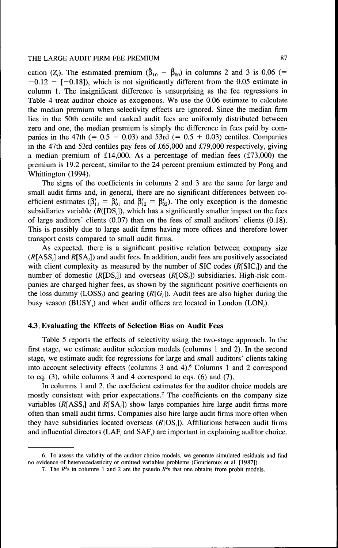cation ( $Z_i$ ). The estimated premium ( $\hat{\beta}_{10} - \hat{\beta}_{00}$ ) in columns 2 and 3 is 0.06 (=  $-0.12 - [-0.18]$ , which is not significantly different from the 0.05 estimate in column 1. The insignificant difference is unsurprising as the fee regressions in Table 4 treat auditor choice as exogenous. We use the 0.06 estimate to calculate the median premium when selectivity effects are ignored. Since the median firm lies in the 50th centile and ranked audit fees are uniformly distributed between zero and one, the median premium is simply the difference in fees paid by companies in the 47th (=  $0.5 - 0.03$ ) and 53rd (=  $0.5 + 0.03$ ) centiles. Companies in the 47th and 53rd centiles pay fees of £65,000 and £79,000 respectively, giving a median premium of £14,000. As a percentage of median fees  $(£73,000)$  the premium is 19.2 percent, similar to the 24 percent premium estimated by Pong and Whittington (1994).

The signs of the coefficients in columns 2 and 3 are the same for large and small audit firms and, in general, there are no significant differences between coefficient estimates ( $\beta'_{11} = \beta'_{01}$  and  $\beta'_{12} = \beta'_{02}$ ). The only exception is the domestic subsidiaries variable  $(R([DS_i])$ , which has a significantly smaller impact on the fees of large auditors' clients (0.07) than on the fees of small auditors' clients (0.18). This is possibly due to large audit firms having more offices and therefore lower transport costs compared to small audit firms.

As expected, there is a significant positive relation between company size  $(R[ASS_i]$  and  $R[SA_i]$ ) and audit fees. In addition, audit fees are positively associated with client complexity as measured by the number of SIC codes  $(R[SIC_i])$  and the number of domestic  $(R[DS,])$  and overseas  $(R[OS,])$  subsidiaries. High-risk companies are charged higher fees, as shown by the significant positive coefficients on the loss dummy  $(LOSS<sub>i</sub>)$  and gearing  $(R[G<sub>i</sub>])$ . Audit fees are also higher during the busy season (BUSY<sub>i</sub>) and when audit offices are located in London (LON<sub>i</sub>).

## **4.3**. **Evaluating the Effects of Selection Bias on Audit Fees**

Table 5 reports the effects of selectivity using the two-stage approach. In the first stage, we estimate auditor selection models (columns 1 and 2). In the second stage, we estimate audit fee regressions for large and small auditors' clients taking into account selectivity effects (columns 3 and 4).<sup>6</sup> Columns 1 and 2 correspond to eq. (3), while columns 3 and 4 correspond to eqs. (6) and (7).

In columns 1 and 2, the coefficient estimates for the auditor choice models are mostly consistent with prior expectations.<sup>7</sup> The coefficients on the company size variables  $(R[ASS,]$  and  $R[SA,])$  show large companies hire large audit firms more often than small audit firms. Companies also hire large audit firms more often when they have subsidiaries located overseas  $(R[OS<sub>i</sub>])$ . Affiliations between audit firms and influential directors (LAF, and SAF,) are important in explaining auditor choice.

<sup>6.</sup> To assess the validity of the auditor choice models, we generate simulated residuals and find no evidence of heteroscedasticity or omitted variables problems (Gourieroux et al. [1987]).

<sup>7.</sup> The  $R^2$ s in columns 1 and 2 are the pseudo  $R^2$ s that one obtains from probit models.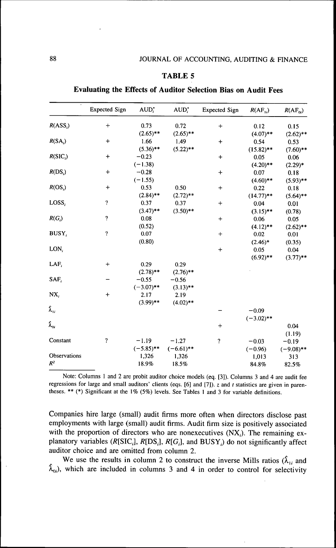| $\ddot{\phantom{0}}$       | <b>Expected Sign</b>       | $AUD_i$      | $AUD^*$      | <b>Expected Sign</b>       | $R(AF_{1i})$ | $R(AF_{0i})$ |
|----------------------------|----------------------------|--------------|--------------|----------------------------|--------------|--------------|
| $R(ASS_i)$                 | $+$                        | 0.73         | 0.72         | $\ddag$                    | 0.12         | 0.15         |
|                            |                            | $(2.65)$ **  | $(2.65)$ **  |                            | $(4.07)$ **  | $(2.62)$ **  |
| $R(SA_i)$                  | $^{+}$                     | 1.66         | 1.49         | $\ddot{}$                  | 0.54         | 0.53         |
|                            |                            | $(5.36)$ **  | $(5.22)$ **  |                            | $(15.82)$ ** | $(7.60)$ **  |
| $R(SIC_i)$                 | $\ddot{}$                  | $-0.23$      |              | $\ddot{}$                  | 0.05         | 0.06         |
|                            |                            | $(-1.38)$    |              |                            | $(4.20)$ **  | $(2.29)*$    |
| $R(DS_i)$                  | $\ddot{}$                  | $-0.28$      |              | $\div$                     | 0.07         | 0.18         |
|                            |                            | $(-1.55)$    |              |                            | $(4.60)$ **  | $(5.93)$ **  |
| $R(OS_i)$                  | $\ddot{}$                  | 0.53         | 0.50         | $\ddag$                    | 0.22         | 0.18         |
|                            |                            | $(2.84)$ **  | $(2.72)$ **  |                            | $(14.77)$ ** | $(5.64)$ **  |
| LOSS,                      | ?                          | 0.37         | 0.37         | $+$                        | 0.04         | 0.01         |
|                            |                            | $(3.47)$ **  | $(3.50)$ **  |                            | $(3.15)$ **  | (0.78)       |
| $R(G_i)$                   | ?                          | 0.08         |              | $\ddot{}$                  | 0.06         | 0.05         |
|                            |                            | (0.52)       |              |                            | $(4.12)$ **  | $(2.62)$ **  |
| BUSY,                      | $\boldsymbol{\mathcal{P}}$ | 0.07         |              | $+$                        | 0.02         | 0.01         |
|                            |                            | (0.80)       |              |                            | $(2.46)*$    | (0.35)       |
| LON,                       |                            |              |              | $\ddot{}$                  | 0.05         | 0.04         |
|                            |                            |              |              |                            | $(6.92)$ **  | $(3.77)$ **  |
| LAF                        | $\ddot{}$                  | 0.29         | 0.29         |                            |              |              |
|                            |                            | $(2.78)$ **  | $(2.76)$ **  |                            |              |              |
| SAF.                       |                            | $-0.55$      | $-0.56$      |                            |              |              |
|                            |                            | $(-3.07)$ ** | $(3.13)$ **  |                            |              |              |
| NX,                        | $\ddot{}$                  | 2.17         | 2.19         |                            |              |              |
|                            |                            | $(3.99)$ **  | $(4.02)$ **  |                            |              |              |
| $\pmb{\hat{\lambda}}_{1i}$ |                            |              |              |                            | $-0.09$      |              |
|                            |                            |              |              |                            | $(-3.02)$ ** |              |
| $\hat{\lambda}_{0i}$       |                            |              |              | $\ddot{}$                  |              | 0.04         |
|                            |                            |              |              |                            |              | (1.19)       |
| Constant                   | $\boldsymbol{\mathcal{P}}$ | $-1.19$      | $-1.27$      | $\boldsymbol{\mathcal{P}}$ | $-0.03$      | $-0.19$      |
|                            |                            | $(-5.85)$ ** | $(-6.61)$ ** |                            | $(-0.96)$    | $(-9.08)$ ** |
| Observations               |                            | 1,326        | 1,326        |                            | 1,013        | 313          |
| $R^2$                      |                            | 18.9%        | 18.5%        |                            | 84.8%        | 82.5%        |

**Evaluating the Effects of Auditor Selection Bias on Audit Fees**

Note: Columns 1 and 2 are probit auditor choice models (eq. [3]). Columns 3 and 4 are audit fee regressions for large and small auditors' clients (eqs. [6] and [7]). z and *t* statistics are given in parentheses. \*\* (\*) Significant at the 1% (5%) levels. See Tables 1 and 3 for variable definitions.

Companies hire large (small) audit firms more often when directors disclose past employments with large (small) audit firms. Audit firm size is positively associated with the proportion of directors who are nonexecutives  $(NX_i)$ . The remaining explanatory variables ( $R[SIC_i]$ ,  $R[DS_i]$ ,  $R[G_i]$ , and  $BUSY_i$ ) do not significantly affect auditor choice and are omitted from column 2.

We use the results in column 2 to construct the inverse Mills ratios  $(\hat{\lambda}_{1i})$  and  $\hat{\lambda}_{0i}$ , which are included in columns 3 and 4 in order to control for selectivity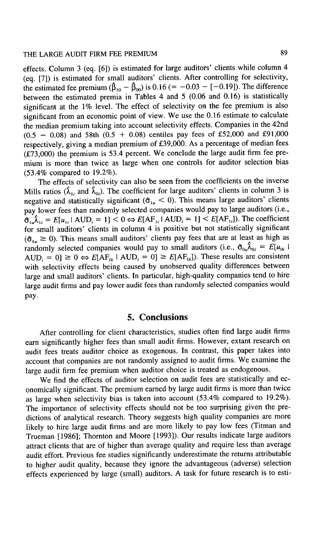effects. Column 3 (eq. [6]) is estimated for large auditors' clients while column 4 (eq. [7]) is estimated for small auditors' clients. After controlling for selectivity, the estimated fee premium  $(\hat{\beta}_{10} - \hat{\beta}_{00})$  is 0.16 (= -0.03 - [-0.19]). The difference between the estimated premia in Tables 4 and 5 (0.06 and 0.16) is statistically significant at the 1% level. The effect of selectivity on the fee premium is also significant from an economic point of view. We use the 0.16 estimate to calculate the median premium taking into account selectivity effects. Companies in the 42nd  $(0.5 - 0.08)$  and 58th  $(0.5 + 0.08)$  centiles pay fees of £52,000 and £91,000 respectively, giving a median premium of £39,000. As a percentage of median fees (£73,000) the premium is 53.4 percent. We conclude the large audit firm fee premium is more than twice as large when one controls for auditor selection bias (53.4% compared to 19.2%).

The effects of selectivity can also be seen from the coefficients on the inverse Mills ratios ( $\hat{\lambda}_{1i}$  and  $\hat{\lambda}_{0i}$ ). The coefficient for large auditors' clients in column 3 is negative and statistically significant ( $\hat{\sigma}_{1u}$  < 0). This means large auditors' clients pay lower fees than randomly selected companies would pay to large auditors (i.e.,  $\hat{\sigma}_{1u}\hat{\lambda}_{1i} = E[u_{1i} | \text{AUD}_i = 1] < 0 \Leftrightarrow E[\text{AF}_{1i} | \text{AUD}_i = 1] < E[\text{AF}_{1i}])$ . The coefficient for small auditors' clients in column 4 is positive but not statistically significant  $(\mathfrak{G}_{1})$   $\geq$  0). This means small auditors' clients pay fees that are at least as high as randomly selected companies would pay to small auditors (i.e.,  $\hat{\sigma}_{0u} \hat{\lambda}_{0i} = E[u_{0i}]$ AUD, = 0]  $\geq 0 \Leftrightarrow E[AF_{0i} \mid AUD_i = 0] \geq E[AF_{0i}].$  These results are consistent with selectivity effects being caused by unobserved quality differences between large and small auditors' clients. In particular, high-quality companies tend to hire large audit firms and pay lower audit fees than randomly selected companies would pay.

## 5. Conclusions

After controlling for client characteristics, studies often find large audit firms earn significantly higher fees than small audit firms. However, extant research on audit fees treats auditor choice as exogenous. In contrast, this paper takes into account that companies are not randomly assigned to audit firms. We examine the large audit firm fee premium when auditor choice is treated as endogenous.

We find the effects of auditor selection on audit fees are statistically and economically significant. The premium earned by large audit firms is more than twice as large when selectivity bias is taken into account (53.4% compared to 19.2%). The importance of selectivity effects should not be too surprising given the predictions of analytical research. Theory suggests high quality companies are more likely to hire large audit firms and are more likely to pay low fees (Titman and Trueman [1986]; Thornton and Moore [1993]). Our results indicate large auditors attract clients that are of higher than average quality and require less than average audit effort. Previous fee studies significantly underestimate the returns attributable to higher audit quality, because they ignore the advantageous (adverse) selection effects experienced by large (small) auditors. A task for future research is to esti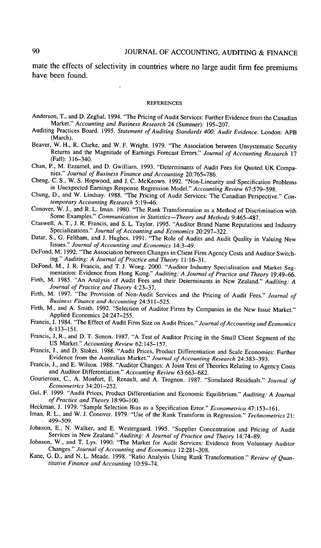mate the effects of selectivity in countries where no large audit firm fee premiums have been found.

#### **REFERENCES**

- Anderson, T., and D. Zeghal. 1994. "The Pricing of Audit Services: Further Evidence from the Canadian Market." *Accounting and Business Research* 24 (Summer): 195-207.
- Auditing Practices Board. 1995. *Statement of Auditing Standards 400: Audit Evidence.* London- APB (March).
- Beaver, W. H., R. Clarke, and W. F. Wright. 1979. "The Association between Unsystematic Security Returns and the Magnitude of Earnings Forecast Errors." *Journal of Accounting Research* 17 (Fall): 316-340.
- Chan, P., M. Ezzamel, and D. Gwilliam. 1993. "Determinants of Audit Fees for Quoted UK Companies." *Journal of Business Finance and Accounting* 20:765-786.
- Cheng, C. S., W. S. Hopwood, and J. C. McKeown. 1992. "Non-Linearity and Specification Problems in Unexpected Earnings Response Regression Model." *Accounting Review* 67:579-598.
- Chung, D., and W. Lindsay. 1988. "The Pricing of Audit Services: The Canadian Perspective." *Contemporary Accounting Research* 5:19-46.
- Conover, W. J., and R. L. Iman. 1980. "The Rank Transformation as a Method of Discrimination with Some Examples." *Communication in Statistics*—*Theory and Methods* 9:465-487.
- Craswell, A. T., J. R. Francis, and S. L. Taylor. 1995. "Auditor Brand Name Reputations and Industry Specializations." *Journal of Accounting and Economics* 20:297-322.
- Datar, S., G. Feltham, and J. Hughes. 1991. "The Role of Audits and Audit Quality in Valuing New Issues." *Journal of Accounting and Economics* 14:3^9.
- DeFond, M. 1992. "The Association between Changes in Client Firm Agency Costs and Auditor Switching." *Auditing: A Journal of Practice and Theory* 11:16-31.
- DeFond, M., J. R. Francis, and T. J. Wong. 2000. "Auditor Industry Specialisation and Market Segmentation: Evidence from Hong Kong." Auditing: A Journal of Practice and Theory 19:49-66.
- Firth, M. 1985. "An Analysis of Audit Fees and their Determinants in New Zealand." *Auditing: A Journal of Practice and Theory* 4:23-37.
- Firth, M. 1997. "The Provision of Non-Audit Services and the Pricing of Audit Fees." *Journal of Business Finance and Accounting* 24:511-525.
- Firth, M., and A. Smith. 1992. "Selection of Auditor Firms by Companies in the New Issue Market." Applied Economics 24:247-255.
- Francis, J. 1984. "The Effect of Audit Firm Size on Audit Prices." *Journal of Accounting and Economics* 6:133-151.
- Francis, J, R., and D. T. Simon. 1987. "A Test of Auditor Pricing in the Small Client Segment of the US Market." *Accounting Review* 62:145-157.
- Francis, J., and D. Stokes. 1986. "Audit Prices, Product Differentiation and Scale Economies: Further Evidence from the Australian Market." *Journal of Accounting Research* 24:383-393.
- Francis, J., and E. Wilson. 1988. "Auditor Changes: A Joint Test of Theories Relating to Agency Costs and Auditor Differentiation." *Accounting Review* 63:663-682.
- Gourieroux, C, A. Monfort, E. Renault, and A. Trognon. 1987. "Simulated Residuals." *Journal of Econometrics* 34:201-252.
- Gul, F. 1999. "Audit Prices, Product Differentiation and Economic Equilibrium." *Auditing: A Journal of Practice and Theory* 18:90-100.
- Heckman, J. 1979. "Sample Selection Bias as a Specification Error." *Econometrica* 47:153-161.
- Iman, R. L., and W. J. Conover. 1979. "Use of the Rank Transform in Regression." *Technometrics* 21- 499–509.<br>Johnson, E., N. Walker, and E. Westergaard. 1995. "Supplier Concentration and Pricing of Audit
- Johnson, E., N. Walker, and E. Westergaard. 1995. "Supplier Concentration and Pricing of Audit Services in New Zealand." *Auditing: A Journal of Practice and Theory* 14:74-89.
- Johnson, W., and T. Lys. 1990. "The Market for Audit Services: Evidence from Voluntary Auditor Changes." *Journal of Accounting and Economics* 12:281-308.
- Kane, G. D., and N. L. Meade. 1998. "Ratio Analysis Using Rank Transformation." *Review of Quantitative Finance and Accounting* 10:59-74.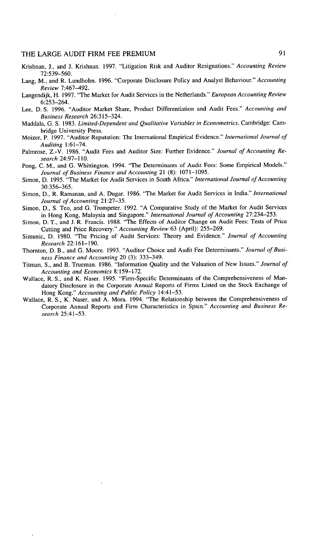- Krishnan, J., and J. Krishnan. 1997. "Litigation Risk and Auditor Resignations." *Accounting Review* 72:539-560.
- Lang, M., and R. Lundholm. 1996. "Corporate Disclosure Policy and Analyst Behaviour." *Accounting Review 1:461-492.*
- Langendijk, H. 1997. "The Market for Audit Services in the Netherlands." *European Accounting Review* 6:253-264.
- Lee, D. S. 1996. "Auditor Market Share, Product Differentiation and Audit Fees." *Accounting and Business Research* 26:315-324,
- Maddala, G, S, 1983, *Limited-Dependent and Qualitative Variables in Econometrics.* Cambridge: Cam, bridge University Press.
- Moizer, P, 1997, "Auditor Reputation: The International Empirical Evidence," *International Journal of Auditing* 1:61-74,
- Palmrose, Z,-V, 1986, "Audit Fees and Auditor Size: Further Evidence," *Journal of Accounting Research* 24:97-110,
- Pong, C. M., and G. Whittington. 1994. "The Determinants of Audit Fees: Some Empirical Models." *Journal of Business Finance and Accounting* 21 (8): 1071-1095,
- Simon, D, 1995, "The Market for Audit Services in South Africa," *tntemational Journal of Accounting* 30:356-365,
- Simon, D,, R, Ramanan, and A, Dugar, 1986, "The Market for Audit Services in India," *International Journal of Accounting* 21:27-35,
- Simon, D,, S, Teo, and G, Trompeter, 1992, "A Comparative Study of the Market for Audit Services in Hong Kong, Malaysia and Singapore," *International Journal of Accounting* 27:234—253,
- Simon, D, T,, and J, R, Francis, 1988, "The Effects of Auditor Change on Audit Fees: Tests of Price Cutting and Price Recovery," *Accounting Review* 63 (April): 255-269,
- Simunic, D, 1980, "The Pricing of Audit Services: Theory and Evidence," *Journal of Accounting Research 22:16\-\9O.*
- Thornton, D, B,, and G, Moore, 1993, "Auditor Choice and Audit Fee Determinants." *Journal of Business Finance and Accounting* 20 (3): 333-349,
- Titman, S., and B, Trueman, 1986, "Information Quality and the Valuation of New Issues," *Journal of Accounting and Economics* 8:159-172,
- Wallace, R, S,, and K, Naser, 1995, "Firm-Specifie Determinants of the Comprehensiveness of Mandatory Disclosure in the Corporate Annual Reports of Firms Listed on the Stock Exchange of Hong Kong," *Accounting and Public Policy* 14:41-53,
- Wallace, R. S., K. Naser, and A. Mora. 1994. "The Relationship between the Comprehensiveness of Corporate Annual Reports and Firm Characteristics in Spain," *Accounting and Business Research* 25:41-53,